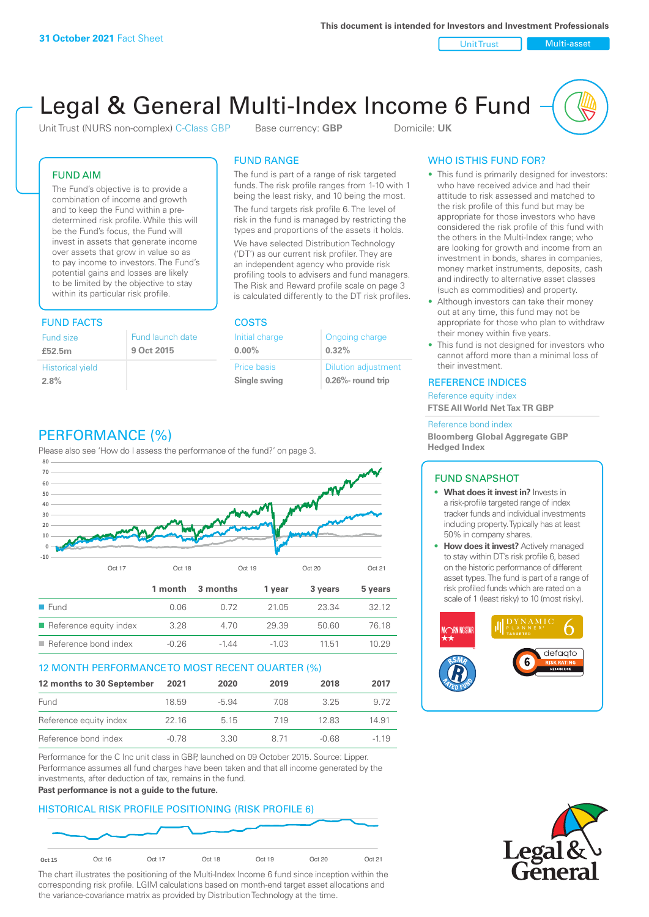Unit Trust Nulti-asset

# Legal & General Multi-Index Income 6 Fund

Unit Trust (NURS non-complex) C-Class GBP Base currency: **GBP** Domicile: UK

### FUND AIM

The Fund's objective is to provide a combination of income and growth and to keep the Fund within a predetermined risk profile. While this will be the Fund's focus, the Fund will invest in assets that generate income over assets that grow in value so as to pay income to investors. The Fund's potential gains and losses are likely to be limited by the objective to stay within its particular risk profile.

### FUND FACTS COSTS

| Fund size                       | Fund launch date |
|---------------------------------|------------------|
| £52.5m                          | 9 Oct 2015       |
| <b>Historical yield</b><br>2.8% |                  |

### FUND RANGE

The fund is part of a range of risk targeted funds. The risk profile ranges from 1-10 with 1 being the least risky, and 10 being the most.

The fund targets risk profile 6. The level of risk in the fund is managed by restricting the types and proportions of the assets it holds. We have selected Distribution Technology ('DT') as our current risk profiler. They are an independent agency who provide risk profiling tools to advisers and fund managers. The Risk and Reward profile scale on page 3 is calculated differently to the DT risk profiles.

**0.00%**

| Initial charge     | Ongoing charge             |
|--------------------|----------------------------|
| $0.00\%$           | 0.32%                      |
| <b>Price basis</b> | <b>Dilution adjustment</b> |
| Single swing       | 0.26%- round trip          |

### WHO IS THIS FUND FOR?

- This fund is primarily designed for investors: who have received advice and had their attitude to risk assessed and matched to the risk profile of this fund but may be appropriate for those investors who have considered the risk profile of this fund with the others in the Multi-Index range; who are looking for growth and income from an investment in bonds, shares in companies, money market instruments, deposits, cash and indirectly to alternative asset classes (such as commodities) and property.
- Although investors can take their money out at any time, this fund may not be appropriate for those who plan to withdraw their money within five years.
- This fund is not designed for investors who cannot afford more than a minimal loss of their investment.

#### REFERENCE INDICES

Reference equity index **FTSE All World Net Tax TR GBP**

#### Reference bond index

**Bloomberg Global Aggregate GBP Hedged Index**

#### FUND SNAPSHOT

- **• What does it invest in?** Invests in a risk-profile targeted range of index tracker funds and individual investments including property. Typically has at least 50% in company shares.
- **• How does it invest?** Actively managed to stay within DT's risk profile 6, based on the historic performance of different asset types. The fund is part of a range of risk profiled funds which are rated on a scale of 1 (least risky) to 10 (most risky).





### PERFORMANCE (%)

Please also see 'How do I assess the performance of the fund?' on page 3.



#### 12 MONTH PERFORMANCE TO MOST RECENT QUARTER (%)

| 12 months to 30 September | 2021  | 2020    | 2019 | 2018  | 2017   |
|---------------------------|-------|---------|------|-------|--------|
| Fund                      | 18.59 | $-5.94$ | 708  | 325   | 9.72   |
| Reference equity index    | 22 16 | 5 1 5   | 719  | 12.83 | 14.91  |
| Reference bond index      | -0.78 | 3.30    | 8 71 | -0.68 | $-119$ |

Performance for the C Inc unit class in GBP, launched on 09 October 2015. Source: Lipper. Performance assumes all fund charges have been taken and that all income generated by the investments, after deduction of tax, remains in the fund.

#### **Past performance is not a guide to the future.**

### HISTORICAL RISK PROFILE POSITIONING (RISK PROFILE 6)



The chart illustrates the positioning of the Multi-Index Income 6 fund since inception within the corresponding risk profile. LGIM calculations based on month-end target asset allocations and the variance-covariance matrix as provided by Distribution Technology at the time.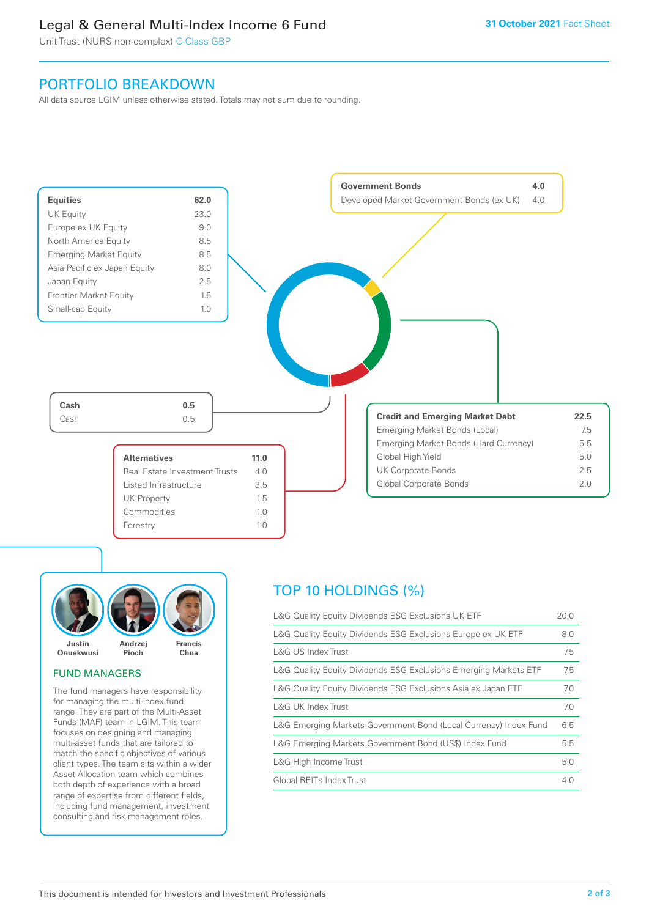### Legal & General Multi-Index Income 6 Fund

Unit Trust (NURS non-complex) C-Class GBP

### PORTFOLIO BREAKDOWN

All data source LGIM unless otherwise stated. Totals may not sum due to rounding.





### FUND MANAGERS

The fund managers have responsibility for managing the multi-index fund range. They are part of the Multi-Asset Funds (MAF) team in LGIM. This team focuses on designing and managing multi-asset funds that are tailored to match the specific objectives of various client types. The team sits within a wider Asset Allocation team which combines both depth of experience with a broad range of expertise from different fields, including fund management, investment consulting and risk management roles.

## TOP 10 HOLDINGS (%)

| L&G Quality Equity Dividends ESG Exclusions UK ETF               | 20.0 |
|------------------------------------------------------------------|------|
| L&G Quality Equity Dividends ESG Exclusions Europe ex UK ETF     | 8.0  |
| L&G US Index Trust                                               | 7.5  |
| L&G Quality Equity Dividends ESG Exclusions Emerging Markets ETF | 7.5  |
| L&G Quality Equity Dividends ESG Exclusions Asia ex Japan ETF    | 7.0  |
| L&G UK Index Trust                                               | 7.0  |
| L&G Emerging Markets Government Bond (Local Currency) Index Fund | 6.5  |
| L&G Emerging Markets Government Bond (US\$) Index Fund           | 5.5  |
| L&G High Income Trust                                            | 5.0  |
| Global REITs Index Trust                                         | 4.0  |